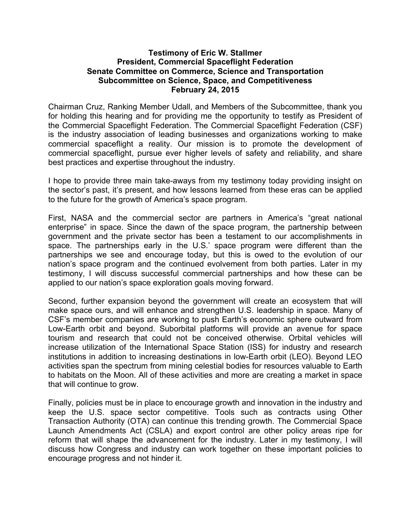#### **Testimony of Eric W. Stallmer President, Commercial Spaceflight Federation Senate Committee on Commerce, Science and Transportation Subcommittee on Science, Space, and Competitiveness February 24, 2015**

Chairman Cruz, Ranking Member Udall, and Members of the Subcommittee, thank you for holding this hearing and for providing me the opportunity to testify as President of the Commercial Spaceflight Federation. The Commercial Spaceflight Federation (CSF) is the industry association of leading businesses and organizations working to make commercial spaceflight a reality. Our mission is to promote the development of commercial spaceflight, pursue ever higher levels of safety and reliability, and share best practices and expertise throughout the industry.

I hope to provide three main take-aways from my testimony today providing insight on the sector's past, it's present, and how lessons learned from these eras can be applied to the future for the growth of America's space program.

First, NASA and the commercial sector are partners in America's "great national enterprise" in space. Since the dawn of the space program, the partnership between government and the private sector has been a testament to our accomplishments in space. The partnerships early in the U.S.' space program were different than the partnerships we see and encourage today, but this is owed to the evolution of our nation's space program and the continued evolvement from both parties. Later in my testimony, I will discuss successful commercial partnerships and how these can be applied to our nation's space exploration goals moving forward.

Second, further expansion beyond the government will create an ecosystem that will make space ours, and will enhance and strengthen U.S. leadership in space. Many of CSF's member companies are working to push Earth's economic sphere outward from Low-Earth orbit and beyond. Suborbital platforms will provide an avenue for space tourism and research that could not be conceived otherwise. Orbital vehicles will increase utilization of the International Space Station (ISS) for industry and research institutions in addition to increasing destinations in low-Earth orbit (LEO). Beyond LEO activities span the spectrum from mining celestial bodies for resources valuable to Earth to habitats on the Moon. All of these activities and more are creating a market in space that will continue to grow.

Finally, policies must be in place to encourage growth and innovation in the industry and keep the U.S. space sector competitive. Tools such as contracts using Other Transaction Authority (OTA) can continue this trending growth. The Commercial Space Launch Amendments Act (CSLA) and export control are other policy areas ripe for reform that will shape the advancement for the industry. Later in my testimony, I will discuss how Congress and industry can work together on these important policies to encourage progress and not hinder it.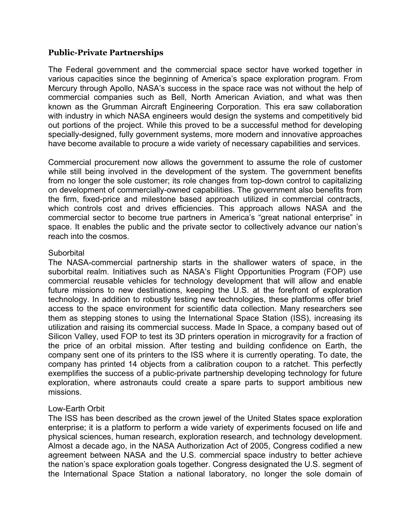# **Public-Private Partnerships**

The Federal government and the commercial space sector have worked together in various capacities since the beginning of America's space exploration program. From Mercury through Apollo, NASA's success in the space race was not without the help of commercial companies such as Bell, North American Aviation, and what was then known as the Grumman Aircraft Engineering Corporation. This era saw collaboration with industry in which NASA engineers would design the systems and competitively bid out portions of the project. While this proved to be a successful method for developing specially-designed, fully government systems, more modern and innovative approaches have become available to procure a wide variety of necessary capabilities and services.

Commercial procurement now allows the government to assume the role of customer while still being involved in the development of the system. The government benefits from no longer the sole customer; its role changes from top-down control to capitalizing on development of commercially-owned capabilities. The government also benefits from the firm, fixed-price and milestone based approach utilized in commercial contracts, which controls cost and drives efficiencies. This approach allows NASA and the commercial sector to become true partners in America's "great national enterprise" in space. It enables the public and the private sector to collectively advance our nation's reach into the cosmos.

#### Suborbital

The NASA-commercial partnership starts in the shallower waters of space, in the suborbital realm. Initiatives such as NASA's Flight Opportunities Program (FOP) use commercial reusable vehicles for technology development that will allow and enable future missions to new destinations, keeping the U.S. at the forefront of exploration technology. In addition to robustly testing new technologies, these platforms offer brief access to the space environment for scientific data collection. Many researchers see them as stepping stones to using the International Space Station (ISS), increasing its utilization and raising its commercial success. Made In Space, a company based out of Silicon Valley, used FOP to test its 3D printers operation in microgravity for a fraction of the price of an orbital mission. After testing and building confidence on Earth, the company sent one of its printers to the ISS where it is currently operating. To date, the company has printed 14 objects from a calibration coupon to a ratchet. This perfectly exemplifies the success of a public-private partnership developing technology for future exploration, where astronauts could create a spare parts to support ambitious new missions.

# Low-Earth Orbit

The ISS has been described as the crown jewel of the United States space exploration enterprise; it is a platform to perform a wide variety of experiments focused on life and physical sciences, human research, exploration research, and technology development. Almost a decade ago, in the NASA Authorization Act of 2005, Congress codified a new agreement between NASA and the U.S. commercial space industry to better achieve the nation's space exploration goals together. Congress designated the U.S. segment of the International Space Station a national laboratory, no longer the sole domain of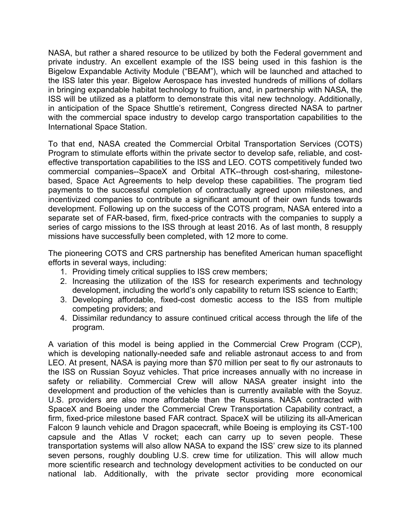NASA, but rather a shared resource to be utilized by both the Federal government and private industry. An excellent example of the ISS being used in this fashion is the Bigelow Expandable Activity Module ("BEAM"), which will be launched and attached to the ISS later this year. Bigelow Aerospace has invested hundreds of millions of dollars in bringing expandable habitat technology to fruition, and, in partnership with NASA, the ISS will be utilized as a platform to demonstrate this vital new technology. Additionally, in anticipation of the Space Shuttle's retirement, Congress directed NASA to partner with the commercial space industry to develop cargo transportation capabilities to the International Space Station.

To that end, NASA created the Commercial Orbital Transportation Services (COTS) Program to stimulate efforts within the private sector to develop safe, reliable, and costeffective transportation capabilities to the ISS and LEO. COTS competitively funded two commercial companies--SpaceX and Orbital ATK--through cost-sharing, milestonebased, Space Act Agreements to help develop these capabilities. The program tied payments to the successful completion of contractually agreed upon milestones, and incentivized companies to contribute a significant amount of their own funds towards development. Following up on the success of the COTS program, NASA entered into a separate set of FAR-based, firm, fixed-price contracts with the companies to supply a series of cargo missions to the ISS through at least 2016. As of last month, 8 resupply missions have successfully been completed, with 12 more to come.

The pioneering COTS and CRS partnership has benefited American human spaceflight efforts in several ways, including:

- 1. Providing timely critical supplies to ISS crew members;
- 2. Increasing the utilization of the ISS for research experiments and technology development, including the world's only capability to return ISS science to Earth;
- 3. Developing affordable, fixed-cost domestic access to the ISS from multiple competing providers; and
- 4. Dissimilar redundancy to assure continued critical access through the life of the program.

A variation of this model is being applied in the Commercial Crew Program (CCP), which is developing nationally-needed safe and reliable astronaut access to and from LEO. At present, NASA is paying more than \$70 million per seat to fly our astronauts to the ISS on Russian Soyuz vehicles. That price increases annually with no increase in safety or reliability. Commercial Crew will allow NASA greater insight into the development and production of the vehicles than is currently available with the Soyuz. U.S. providers are also more affordable than the Russians. NASA contracted with SpaceX and Boeing under the Commercial Crew Transportation Capability contract, a firm, fixed-price milestone based FAR contract. SpaceX will be utilizing its all-American Falcon 9 launch vehicle and Dragon spacecraft, while Boeing is employing its CST-100 capsule and the Atlas V rocket; each can carry up to seven people. These transportation systems will also allow NASA to expand the ISS' crew size to its planned seven persons, roughly doubling U.S. crew time for utilization. This will allow much more scientific research and technology development activities to be conducted on our national lab. Additionally, with the private sector providing more economical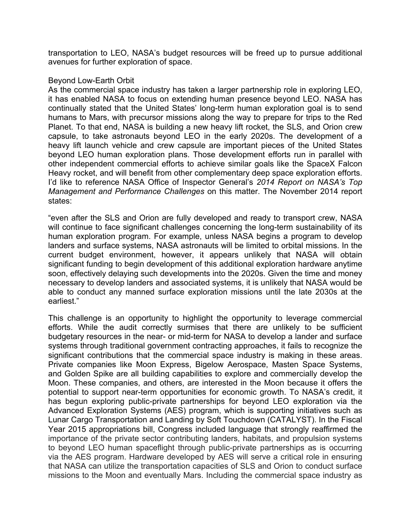transportation to LEO, NASA's budget resources will be freed up to pursue additional avenues for further exploration of space.

#### Beyond Low-Earth Orbit

As the commercial space industry has taken a larger partnership role in exploring LEO, it has enabled NASA to focus on extending human presence beyond LEO. NASA has continually stated that the United States' long-term human exploration goal is to send humans to Mars, with precursor missions along the way to prepare for trips to the Red Planet. To that end, NASA is building a new heavy lift rocket, the SLS, and Orion crew capsule, to take astronauts beyond LEO in the early 2020s. The development of a heavy lift launch vehicle and crew capsule are important pieces of the United States beyond LEO human exploration plans. Those development efforts run in parallel with other independent commercial efforts to achieve similar goals like the SpaceX Falcon Heavy rocket, and will benefit from other complementary deep space exploration efforts. I'd like to reference NASA Office of Inspector General's *2014 Report on NASA's Top Management and Performance Challenges* on this matter. The November 2014 report states:

"even after the SLS and Orion are fully developed and ready to transport crew, NASA will continue to face significant challenges concerning the long-term sustainability of its human exploration program. For example, unless NASA begins a program to develop landers and surface systems, NASA astronauts will be limited to orbital missions. In the current budget environment, however, it appears unlikely that NASA will obtain significant funding to begin development of this additional exploration hardware anytime soon, effectively delaying such developments into the 2020s. Given the time and money necessary to develop landers and associated systems, it is unlikely that NASA would be able to conduct any manned surface exploration missions until the late 2030s at the earliest."

This challenge is an opportunity to highlight the opportunity to leverage commercial efforts. While the audit correctly surmises that there are unlikely to be sufficient budgetary resources in the near- or mid-term for NASA to develop a lander and surface systems through traditional government contracting approaches, it fails to recognize the significant contributions that the commercial space industry is making in these areas. Private companies like Moon Express, Bigelow Aerospace, Masten Space Systems, and Golden Spike are all building capabilities to explore and commercially develop the Moon. These companies, and others, are interested in the Moon because it offers the potential to support near-term opportunities for economic growth. To NASA's credit, it has begun exploring public-private partnerships for beyond LEO exploration via the Advanced Exploration Systems (AES) program, which is supporting initiatives such as Lunar Cargo Transportation and Landing by Soft Touchdown (CATALYST). In the Fiscal Year 2015 appropriations bill, Congress included language that strongly reaffirmed the importance of the private sector contributing landers, habitats, and propulsion systems to beyond LEO human spaceflight through public-private partnerships as is occurring via the AES program. Hardware developed by AES will serve a critical role in ensuring that NASA can utilize the transportation capacities of SLS and Orion to conduct surface missions to the Moon and eventually Mars. Including the commercial space industry as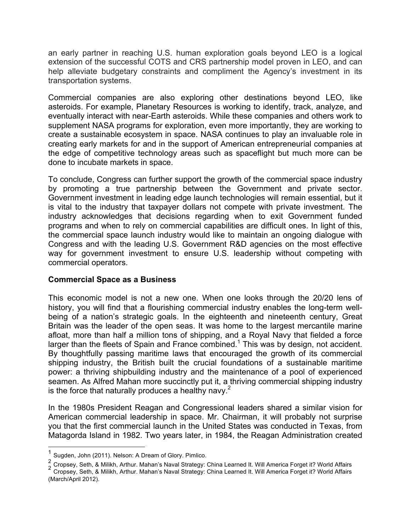an early partner in reaching U.S. human exploration goals beyond LEO is a logical extension of the successful COTS and CRS partnership model proven in LEO, and can help alleviate budgetary constraints and compliment the Agency's investment in its transportation systems.

Commercial companies are also exploring other destinations beyond LEO, like asteroids. For example, Planetary Resources is working to identify, track, analyze, and eventually interact with near-Earth asteroids. While these companies and others work to supplement NASA programs for exploration, even more importantly, they are working to create a sustainable ecosystem in space. NASA continues to play an invaluable role in creating early markets for and in the support of American entrepreneurial companies at the edge of competitive technology areas such as spaceflight but much more can be done to incubate markets in space.

To conclude, Congress can further support the growth of the commercial space industry by promoting a true partnership between the Government and private sector. Government investment in leading edge launch technologies will remain essential, but it is vital to the industry that taxpayer dollars not compete with private investment. The industry acknowledges that decisions regarding when to exit Government funded programs and when to rely on commercial capabilities are difficult ones. In light of this, the commercial space launch industry would like to maintain an ongoing dialogue with Congress and with the leading U.S. Government R&D agencies on the most effective way for government investment to ensure U.S. leadership without competing with commercial operators.

# **Commercial Space as a Business**

This economic model is not a new one. When one looks through the 20/20 lens of history, you will find that a flourishing commercial industry enables the long-term wellbeing of a nation's strategic goals. In the eighteenth and nineteenth century, Great Britain was the leader of the open seas. It was home to the largest mercantile marine afloat, more than half a million tons of shipping, and a Royal Navy that fielded a force larger than the fleets of Spain and France combined.<sup>1</sup> This was by design, not accident. By thoughtfully passing maritime laws that encouraged the growth of its commercial shipping industry, the British built the crucial foundations of a sustainable maritime power: a thriving shipbuilding industry and the maintenance of a pool of experienced seamen. As Alfred Mahan more succinctly put it, a thriving commercial shipping industry is the force that naturally produces a healthy navy.<sup>2</sup>

In the 1980s President Reagan and Congressional leaders shared a similar vision for American commercial leadership in space. Mr. Chairman, it will probably not surprise you that the first commercial launch in the United States was conducted in Texas, from Matagorda Island in 1982. Two years later, in 1984, the Reagan Administration created

Sugden, John (2011). Nelson: A Dream of Glory. Pimlico.

<sup>2&</sup>lt;br>Cropsey, Seth, & Milikh, Arthur. Mahan's Naval Strategy: China Learned It. Will America Forget it? World Affairs<br>Cropsey, Seth, & Milikh, Arthur. Mahan's Naval Strategy: China Learned It. Will America Forget it? World Af

<sup>(</sup>March/April 2012).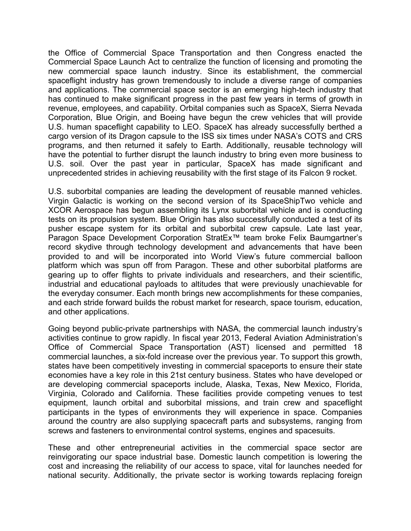the Office of Commercial Space Transportation and then Congress enacted the Commercial Space Launch Act to centralize the function of licensing and promoting the new commercial space launch industry. Since its establishment, the commercial spaceflight industry has grown tremendously to include a diverse range of companies and applications. The commercial space sector is an emerging high-tech industry that has continued to make significant progress in the past few years in terms of growth in revenue, employees, and capability. Orbital companies such as SpaceX, Sierra Nevada Corporation, Blue Origin, and Boeing have begun the crew vehicles that will provide U.S. human spaceflight capability to LEO. SpaceX has already successfully berthed a cargo version of its Dragon capsule to the ISS six times under NASA's COTS and CRS programs, and then returned it safely to Earth. Additionally, reusable technology will have the potential to further disrupt the launch industry to bring even more business to U.S. soil. Over the past year in particular, SpaceX has made significant and unprecedented strides in achieving reusability with the first stage of its Falcon 9 rocket.

U.S. suborbital companies are leading the development of reusable manned vehicles. Virgin Galactic is working on the second version of its SpaceShipTwo vehicle and XCOR Aerospace has begun assembling its Lynx suborbital vehicle and is conducting tests on its propulsion system. Blue Origin has also successfully conducted a test of its pusher escape system for its orbital and suborbital crew capsule. Late last year, Paragon Space Development Corporation StratEx™ team broke Felix Baumgartner's record skydive through technology development and advancements that have been provided to and will be incorporated into World View's future commercial balloon platform which was spun off from Paragon. These and other suborbital platforms are gearing up to offer flights to private individuals and researchers, and their scientific, industrial and educational payloads to altitudes that were previously unachievable for the everyday consumer. Each month brings new accomplishments for these companies, and each stride forward builds the robust market for research, space tourism, education, and other applications.

Going beyond public-private partnerships with NASA, the commercial launch industry's activities continue to grow rapidly. In fiscal year 2013, Federal Aviation Administration's Office of Commercial Space Transportation (AST) licensed and permitted 18 commercial launches, a six-fold increase over the previous year. To support this growth, states have been competitively investing in commercial spaceports to ensure their state economies have a key role in this 21st century business. States who have developed or are developing commercial spaceports include, Alaska, Texas, New Mexico, Florida, Virginia, Colorado and California. These facilities provide competing venues to test equipment, launch orbital and suborbital missions, and train crew and spaceflight participants in the types of environments they will experience in space. Companies around the country are also supplying spacecraft parts and subsystems, ranging from screws and fasteners to environmental control systems, engines and spacesuits.

These and other entrepreneurial activities in the commercial space sector are reinvigorating our space industrial base. Domestic launch competition is lowering the cost and increasing the reliability of our access to space, vital for launches needed for national security. Additionally, the private sector is working towards replacing foreign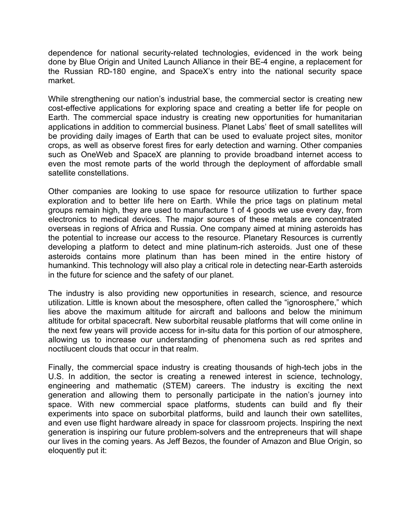dependence for national security-related technologies, evidenced in the work being done by Blue Origin and United Launch Alliance in their BE-4 engine, a replacement for the Russian RD-180 engine, and SpaceX's entry into the national security space market.

While strengthening our nation's industrial base, the commercial sector is creating new cost-effective applications for exploring space and creating a better life for people on Earth. The commercial space industry is creating new opportunities for humanitarian applications in addition to commercial business. Planet Labs' fleet of small satellites will be providing daily images of Earth that can be used to evaluate project sites, monitor crops, as well as observe forest fires for early detection and warning. Other companies such as OneWeb and SpaceX are planning to provide broadband internet access to even the most remote parts of the world through the deployment of affordable small satellite constellations.

Other companies are looking to use space for resource utilization to further space exploration and to better life here on Earth. While the price tags on platinum metal groups remain high, they are used to manufacture 1 of 4 goods we use every day, from electronics to medical devices. The major sources of these metals are concentrated overseas in regions of Africa and Russia. One company aimed at mining asteroids has the potential to increase our access to the resource. Planetary Resources is currently developing a platform to detect and mine platinum-rich asteroids. Just one of these asteroids contains more platinum than has been mined in the entire history of humankind. This technology will also play a critical role in detecting near-Earth asteroids in the future for science and the safety of our planet.

The industry is also providing new opportunities in research, science, and resource utilization. Little is known about the mesosphere, often called the "ignorosphere," which lies above the maximum altitude for aircraft and balloons and below the minimum altitude for orbital spacecraft. New suborbital reusable platforms that will come online in the next few years will provide access for in-situ data for this portion of our atmosphere, allowing us to increase our understanding of phenomena such as red sprites and noctilucent clouds that occur in that realm.

Finally, the commercial space industry is creating thousands of high-tech jobs in the U.S. In addition, the sector is creating a renewed interest in science, technology, engineering and mathematic (STEM) careers. The industry is exciting the next generation and allowing them to personally participate in the nation's journey into space. With new commercial space platforms, students can build and fly their experiments into space on suborbital platforms, build and launch their own satellites, and even use flight hardware already in space for classroom projects. Inspiring the next generation is inspiring our future problem-solvers and the entrepreneurs that will shape our lives in the coming years. As Jeff Bezos, the founder of Amazon and Blue Origin, so eloquently put it: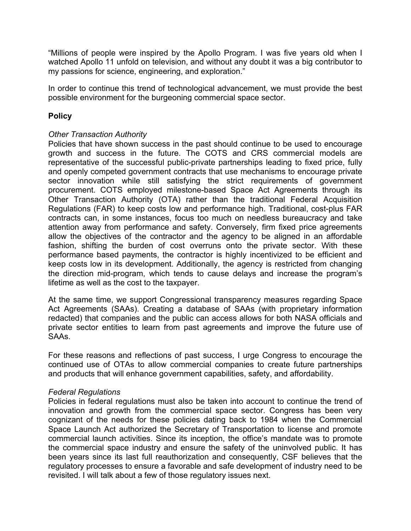"Millions of people were inspired by the Apollo Program. I was five years old when I watched Apollo 11 unfold on television, and without any doubt it was a big contributor to my passions for science, engineering, and exploration."

In order to continue this trend of technological advancement, we must provide the best possible environment for the burgeoning commercial space sector.

# **Policy**

# *Other Transaction Authority*

Policies that have shown success in the past should continue to be used to encourage growth and success in the future. The COTS and CRS commercial models are representative of the successful public-private partnerships leading to fixed price, fully and openly competed government contracts that use mechanisms to encourage private sector innovation while still satisfying the strict requirements of government procurement. COTS employed milestone-based Space Act Agreements through its Other Transaction Authority (OTA) rather than the traditional Federal Acquisition Regulations (FAR) to keep costs low and performance high. Traditional, cost-plus FAR contracts can, in some instances, focus too much on needless bureaucracy and take attention away from performance and safety. Conversely, firm fixed price agreements allow the objectives of the contractor and the agency to be aligned in an affordable fashion, shifting the burden of cost overruns onto the private sector. With these performance based payments, the contractor is highly incentivized to be efficient and keep costs low in its development. Additionally, the agency is restricted from changing the direction mid-program, which tends to cause delays and increase the program's lifetime as well as the cost to the taxpayer.

At the same time, we support Congressional transparency measures regarding Space Act Agreements (SAAs). Creating a database of SAAs (with proprietary information redacted) that companies and the public can access allows for both NASA officials and private sector entities to learn from past agreements and improve the future use of SAAs.

For these reasons and reflections of past success, I urge Congress to encourage the continued use of OTAs to allow commercial companies to create future partnerships and products that will enhance government capabilities, safety, and affordability.

# *Federal Regulations*

Policies in federal regulations must also be taken into account to continue the trend of innovation and growth from the commercial space sector. Congress has been very cognizant of the needs for these policies dating back to 1984 when the Commercial Space Launch Act authorized the Secretary of Transportation to license and promote commercial launch activities. Since its inception, the office's mandate was to promote the commercial space industry and ensure the safety of the uninvolved public. It has been years since its last full reauthorization and consequently, CSF believes that the regulatory processes to ensure a favorable and safe development of industry need to be revisited. I will talk about a few of those regulatory issues next.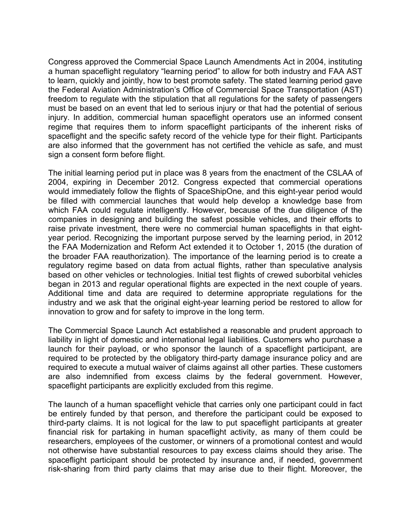Congress approved the Commercial Space Launch Amendments Act in 2004, instituting a human spaceflight regulatory "learning period" to allow for both industry and FAA AST to learn, quickly and jointly, how to best promote safety. The stated learning period gave the Federal Aviation Administration's Office of Commercial Space Transportation (AST) freedom to regulate with the stipulation that all regulations for the safety of passengers must be based on an event that led to serious injury or that had the potential of serious injury. In addition, commercial human spaceflight operators use an informed consent regime that requires them to inform spaceflight participants of the inherent risks of spaceflight and the specific safety record of the vehicle type for their flight. Participants are also informed that the government has not certified the vehicle as safe, and must sign a consent form before flight.

The initial learning period put in place was 8 years from the enactment of the CSLAA of 2004, expiring in December 2012. Congress expected that commercial operations would immediately follow the flights of SpaceShipOne, and this eight-year period would be filled with commercial launches that would help develop a knowledge base from which FAA could regulate intelligently. However, because of the due diligence of the companies in designing and building the safest possible vehicles, and their efforts to raise private investment, there were no commercial human spaceflights in that eightyear period. Recognizing the important purpose served by the learning period, in 2012 the FAA Modernization and Reform Act extended it to October 1, 2015 (the duration of the broader FAA reauthorization). The importance of the learning period is to create a regulatory regime based on data from actual flights, rather than speculative analysis based on other vehicles or technologies. Initial test flights of crewed suborbital vehicles began in 2013 and regular operational flights are expected in the next couple of years. Additional time and data are required to determine appropriate regulations for the industry and we ask that the original eight-year learning period be restored to allow for innovation to grow and for safety to improve in the long term.

The Commercial Space Launch Act established a reasonable and prudent approach to liability in light of domestic and international legal liabilities. Customers who purchase a launch for their payload, or who sponsor the launch of a spaceflight participant, are required to be protected by the obligatory third-party damage insurance policy and are required to execute a mutual waiver of claims against all other parties. These customers are also indemnified from excess claims by the federal government. However, spaceflight participants are explicitly excluded from this regime.

The launch of a human spaceflight vehicle that carries only one participant could in fact be entirely funded by that person, and therefore the participant could be exposed to third-party claims. It is not logical for the law to put spaceflight participants at greater financial risk for partaking in human spaceflight activity, as many of them could be researchers, employees of the customer, or winners of a promotional contest and would not otherwise have substantial resources to pay excess claims should they arise. The spaceflight participant should be protected by insurance and, if needed, government risk-sharing from third party claims that may arise due to their flight. Moreover, the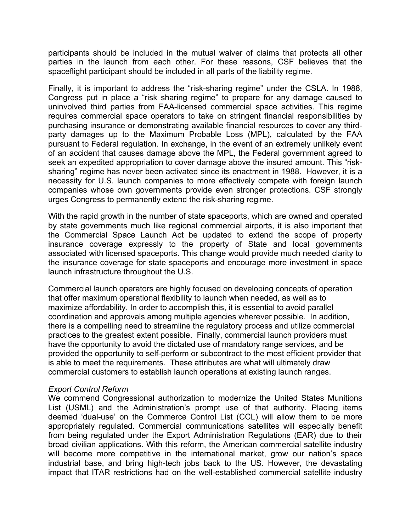participants should be included in the mutual waiver of claims that protects all other parties in the launch from each other. For these reasons, CSF believes that the spaceflight participant should be included in all parts of the liability regime.

Finally, it is important to address the "risk-sharing regime" under the CSLA. In 1988, Congress put in place a "risk sharing regime" to prepare for any damage caused to uninvolved third parties from FAA-licensed commercial space activities. This regime requires commercial space operators to take on stringent financial responsibilities by purchasing insurance or demonstrating available financial resources to cover any thirdparty damages up to the Maximum Probable Loss (MPL), calculated by the FAA pursuant to Federal regulation. In exchange, in the event of an extremely unlikely event of an accident that causes damage above the MPL, the Federal government agreed to seek an expedited appropriation to cover damage above the insured amount. This "risksharing" regime has never been activated since its enactment in 1988. However, it is a necessity for U.S. launch companies to more effectively compete with foreign launch companies whose own governments provide even stronger protections. CSF strongly urges Congress to permanently extend the risk-sharing regime.

With the rapid growth in the number of state spaceports, which are owned and operated by state governments much like regional commercial airports, it is also important that the Commercial Space Launch Act be updated to extend the scope of property insurance coverage expressly to the property of State and local governments associated with licensed spaceports. This change would provide much needed clarity to the insurance coverage for state spaceports and encourage more investment in space launch infrastructure throughout the U.S.

Commercial launch operators are highly focused on developing concepts of operation that offer maximum operational flexibility to launch when needed, as well as to maximize affordability. In order to accomplish this, it is essential to avoid parallel coordination and approvals among multiple agencies wherever possible. In addition, there is a compelling need to streamline the regulatory process and utilize commercial practices to the greatest extent possible. Finally, commercial launch providers must have the opportunity to avoid the dictated use of mandatory range services, and be provided the opportunity to self-perform or subcontract to the most efficient provider that is able to meet the requirements. These attributes are what will ultimately draw commercial customers to establish launch operations at existing launch ranges.

# *Export Control Reform*

We commend Congressional authorization to modernize the United States Munitions List (USML) and the Administration's prompt use of that authority. Placing items deemed 'dual-use' on the Commerce Control List (CCL) will allow them to be more appropriately regulated. Commercial communications satellites will especially benefit from being regulated under the Export Administration Regulations (EAR) due to their broad civilian applications. With this reform, the American commercial satellite industry will become more competitive in the international market, grow our nation's space industrial base, and bring high-tech jobs back to the US. However, the devastating impact that ITAR restrictions had on the well-established commercial satellite industry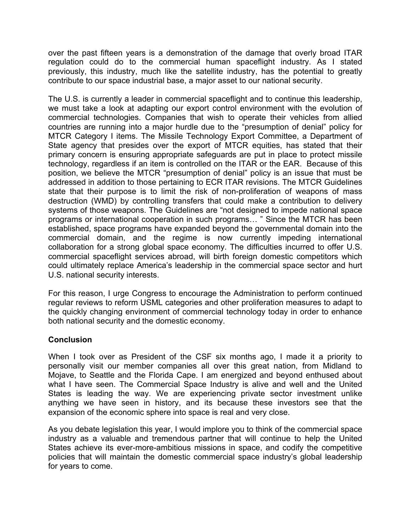over the past fifteen years is a demonstration of the damage that overly broad ITAR regulation could do to the commercial human spaceflight industry. As I stated previously, this industry, much like the satellite industry, has the potential to greatly contribute to our space industrial base, a major asset to our national security.

The U.S. is currently a leader in commercial spaceflight and to continue this leadership, we must take a look at adapting our export control environment with the evolution of commercial technologies. Companies that wish to operate their vehicles from allied countries are running into a major hurdle due to the "presumption of denial" policy for MTCR Category I items. The Missile Technology Export Committee, a Department of State agency that presides over the export of MTCR equities, has stated that their primary concern is ensuring appropriate safeguards are put in place to protect missile technology, regardless if an item is controlled on the ITAR or the EAR. Because of this position, we believe the MTCR "presumption of denial" policy is an issue that must be addressed in addition to those pertaining to ECR ITAR revisions. The MTCR Guidelines state that their purpose is to limit the risk of non-proliferation of weapons of mass destruction (WMD) by controlling transfers that could make a contribution to delivery systems of those weapons. The Guidelines are "not designed to impede national space programs or international cooperation in such programs… " Since the MTCR has been established, space programs have expanded beyond the governmental domain into the commercial domain, and the regime is now currently impeding international collaboration for a strong global space economy. The difficulties incurred to offer U.S. commercial spaceflight services abroad, will birth foreign domestic competitors which could ultimately replace America's leadership in the commercial space sector and hurt U.S. national security interests.

For this reason, I urge Congress to encourage the Administration to perform continued regular reviews to reform USML categories and other proliferation measures to adapt to the quickly changing environment of commercial technology today in order to enhance both national security and the domestic economy.

# **Conclusion**

When I took over as President of the CSF six months ago, I made it a priority to personally visit our member companies all over this great nation, from Midland to Mojave, to Seattle and the Florida Cape. I am energized and beyond enthused about what I have seen. The Commercial Space Industry is alive and well and the United States is leading the way. We are experiencing private sector investment unlike anything we have seen in history, and its because these investors see that the expansion of the economic sphere into space is real and very close.

As you debate legislation this year, I would implore you to think of the commercial space industry as a valuable and tremendous partner that will continue to help the United States achieve its ever-more-ambitious missions in space, and codify the competitive policies that will maintain the domestic commercial space industry's global leadership for years to come.